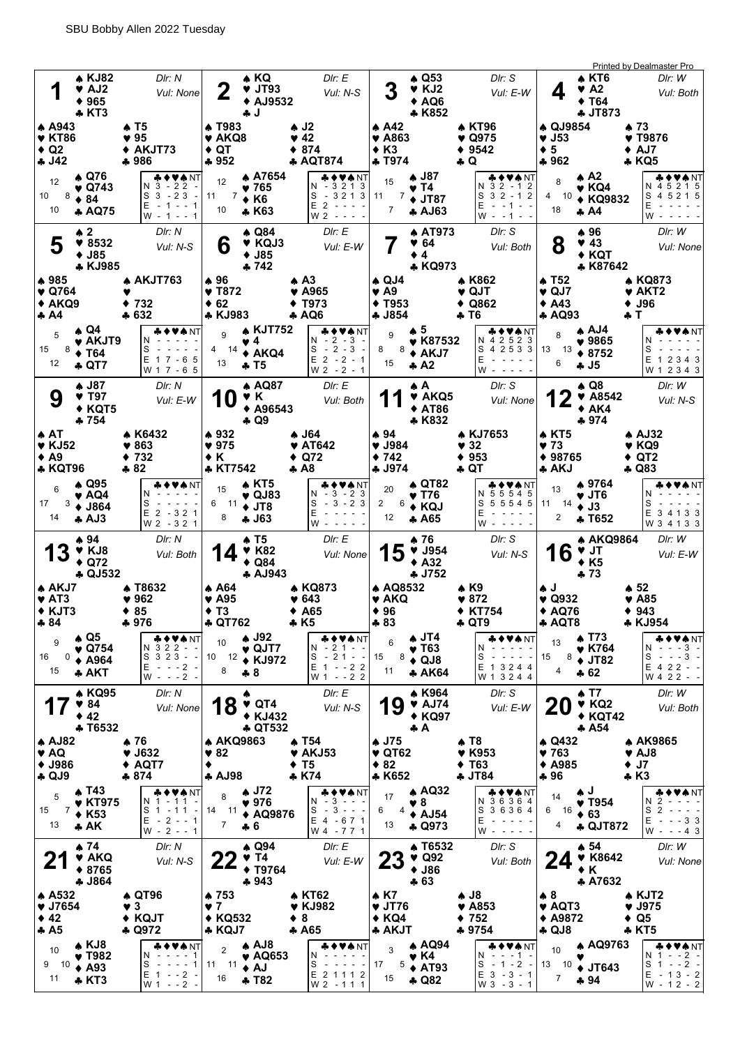|                                                                              |               |                                                                          |                                |                                                                                                     |    |                                                                         |      |                                                                         |             |                                                                                          |                                               |                                                             |                       |                                                                       |     |                                                                                       |                                          |                                                      |                                                                   |                           | <b>Printed by Dealmaster Pro</b>                                                                      |
|------------------------------------------------------------------------------|---------------|--------------------------------------------------------------------------|--------------------------------|-----------------------------------------------------------------------------------------------------|----|-------------------------------------------------------------------------|------|-------------------------------------------------------------------------|-------------|------------------------------------------------------------------------------------------|-----------------------------------------------|-------------------------------------------------------------|-----------------------|-----------------------------------------------------------------------|-----|---------------------------------------------------------------------------------------|------------------------------------------|------------------------------------------------------|-------------------------------------------------------------------|---------------------------|-------------------------------------------------------------------------------------------------------|
| 1                                                                            |               | <b>4 KJ82</b><br>♥ AJ2<br>$*965$<br>♣ KT3                                |                                | DIr: N<br>Vul: None                                                                                 |    | 2                                                                       | ∔ J  | ♠ KQ<br>$\blacktriangledown$ JT93<br>◆ AJ9532                           |             | DIr: E<br>Vul: N-S                                                                       |                                               | 3                                                           |                       | $\triangle$ Q53<br>$V$ KJ2<br>$\triangle$ AQ6<br>* K852               |     | DIr: S<br>Vul: E-W                                                                    |                                          | 4                                                    | $\triangle$ KT6<br>V A2<br>$\blacklozenge$ T64<br><b>4 JT873</b>  |                           | DIr: W<br>Vul: Both                                                                                   |
| A A943<br>I♥ KT86<br>$\triangle$ Q2<br>$\clubsuit$ J42                       |               |                                                                          | $\clubsuit$ T5<br>♥ 95<br>♣986 | ◆ AKJT73                                                                                            |    | ▲ T983<br>♥ AKQ8<br>$\triangle$ QT<br>$+952$                            |      |                                                                         |             | $\clubsuit$ J2<br>♥ 42<br>$*874$<br>♣ AQT874                                             | $\triangle$ A42<br>$\triangle$ K <sub>3</sub> | $\blacktriangledown$ A863<br><b>+ T974</b>                  |                       |                                                                       | ♣ Q | <b>A KT96</b><br>♥ Q975<br>9542                                                       | ♥ J53<br>$\bullet$ 5<br>$+962$           | ♠ QJ9854                                             |                                                                   | ▲ 73                      | ♥ T9876<br>$\triangle$ AJ7<br><b>* KQ5</b>                                                            |
| 12<br>10<br>8<br>10                                                          |               | ▲ Q76<br>♥ Q743<br>$* 84$<br><b>* AQ75</b>                               |                                | ♣♦♥♠ NT<br>$N_3 - 22$<br>$S_3 - 23$<br>$\sim$<br>$E - 1 - 1$<br>$W - 1 - - 1$                       | 11 | 12<br>7<br>10                                                           |      | ▲ A7654<br>♥ 765<br>$\triangle$ K <sub>6</sub><br>* K63                 |             | ♦VѦNT<br>$-3213$<br>S<br>$-3213$<br>$E$ 2 - - -<br>$W2 - - -$                            | 15<br>11                                      | 7                                                           | ♥ T4                  | ♦ J87<br>♦ JT87<br><b>A AJ63</b>                                      |     | ♣♦♥♠ NT<br>$32 - 12$<br>N.<br>S<br>$32 - 12$<br>E<br>$-1$ - 1 - -<br>W - -1 - -       | 4                                        | 8<br>10<br>18                                        | ▲ A2<br>♥ KQ4<br>◆ KQ9832<br>* A4                                 |                           | <b>* ◆ ♥ ♠</b> NT<br>N 4 5 2 1 5<br>4 5 2 1 5<br>S<br>E<br>W                                          |
| 5                                                                            | $\clubsuit$ 2 | 98532<br>$\blacklozenge$ J85<br>* KJ985                                  |                                | DIr: N<br>Vul: N-S                                                                                  |    | 6                                                                       |      | <b>A Q84</b><br>♥ KQJ3<br>$+$ J85<br>$+742$                             |             | DIr: E<br>Vul: E-W                                                                       |                                               |                                                             | $\bullet$ 4           | <b>AT973</b><br>$\Psi$ 64<br>♣ KQ973                                  |     | DIr: S<br>Vul: Both                                                                   |                                          | 8                                                    | ▲ 96<br>43<br>$\blacklozenge$ KQT<br>* K87642                     |                           | DIr: W<br>Vul: None                                                                                   |
| ♦985<br>I♥ Q764<br>$\triangle$ AKQ9<br>$\clubsuit$ A4                        |               |                                                                          | $*632$                         | ▲ AKJT763<br>♦ 732                                                                                  |    | ₩96<br>$\blacktriangledown$ T872<br>$\div 62$<br><b>* KJ983</b>         |      |                                                                         |             | $\triangle$ A <sub>3</sub><br>$\blacktriangledown$ A965<br>$\blacklozenge$ T973<br>♣ AQ6 | $\clubsuit$ QJ4<br>$\blacktriangledown$ A9    | $\blacklozenge$ T953<br><b>4 J854</b>                       |                       |                                                                       |     | A K862<br>♥ QJT<br>Q862<br>♣ Т6                                                       | <b>↑ T52</b><br>$\blacktriangledown$ QJ7 | $\triangle$ A43<br><b>A AQ93</b>                     |                                                                   | ♣ T                       | ♣ KQ873<br>$\blacktriangledown$ AKT2<br><b>J96</b>                                                    |
| 5<br>8<br>15<br>12                                                           |               | ▲ Q4<br>♥ AKJT9<br>$\div$ T64<br>♣ QT7                                   |                                | S<br>E 1 7 - 6 5<br>W 1 7 - 6 5                                                                     |    | 9<br>14<br>4<br>13                                                      | ♥ 4  | ል KJT752<br>$\triangle$ AKQ4<br>$+T5$                                   |             | V & NT<br>N - 2 - 3 -<br>$S - 2 - 3 -$<br>$E$ 2 - 2 - 1<br>$W2 - 2 - 1$                  | 8<br>15                                       | 9<br>8                                                      | ▲ 5<br>$\clubsuit$ A2 | ₩ K87532<br>$\triangle$ AKJ7                                          |     | V & NT<br>N 4 2 5 2 3<br>S<br>4 2 5 3 3  <br>E<br>w - - - - -                         | 13                                       | 8<br>13<br>6                                         | ▲ AJ4<br>$*9865$<br>$*8752$<br>* J5                               |                           | N<br>S<br>E 1 2 3 4 3<br>W 1 2 3 4 3                                                                  |
| 9                                                                            |               | ♣ J87<br>♥ T97<br>◆ KQT5<br>♣ 754                                        |                                | DIr: N<br>Vul: E-W                                                                                  |    |                                                                         |      | ♠ AQ87<br>Y K<br>◆ A96543<br>$\clubsuit$ Q9                             |             | DIr: E<br>Vul: Both                                                                      |                                               |                                                             | ▲ A                   | <b>V</b> AKQ5<br><b>◆ AT86</b><br>* K832                              |     | Dir: S<br>Vul: None                                                                   |                                          | 2                                                    | ▲ Q8<br>$\blacktriangledown$ A8542<br>$* AK4$<br>$*974$           |                           | DIr: W<br>Vul: N-S                                                                                    |
| ∣♠ AT<br>$\blacktriangledown$ KJ52<br>$\bullet$ A9<br><b>* KQT96</b>         |               |                                                                          | ♣ 82                           | ♠ K6432<br>$\blacktriangledown 863$<br>4732                                                         |    | ♠ 932<br>$\blacktriangledown$ 975<br>◆ K<br>* KT7542                    |      |                                                                         |             | ♠ J64<br>$\blacktriangledown$ AT642<br>Q72<br>♣ А8                                       | ▲ 94<br>♦ 742                                 | ♥ J984<br><b>4 J974</b>                                     |                       |                                                                       |     | ♠ KJ7653<br>♥ 32<br>953<br>♣ QT                                                       | 973                                      | <b>A KT5</b><br>◆ 98765<br>* AKJ                     |                                                                   |                           | $\spadesuit$ AJ32<br>♥ KQ9<br>$\triangleleft$ QT2<br>♣ Q83                                            |
| 6<br>17<br>14                                                                |               | A Q95<br>♥ AQ4<br>$3 + J864$<br>♣ AJ3                                    |                                | ◆♥★NT<br>s<br>E 2 - 3 2 1<br>W 2 - 3 2 1                                                            |    | 15<br>6<br>11<br>8                                                      |      | $\triangle$ KT5<br>$\blacktriangledown$ QJ83<br>$+JT8$<br>♣ J63         |             | <b>▲◆♥♠</b> NT<br>$-3 - 23$<br>N<br>$3 - 23$<br>S<br>$\sim$<br>E<br>w -                  | 20<br>2<br>12                                 | 6                                                           |                       | ▲ QT82<br>♥ T76<br>◆ KQJ<br>* A65                                     |     | &♦♥★NT<br>5 5 5 4 5<br>N.<br>S<br>5 5 5 4 5<br>E<br>W                                 | 11                                       | 13<br>- 14<br>$\overline{2}$                         | ♦ 9764<br>♥ JT6<br>$\triangleleft$ J3<br>* T652                   |                           | VANT<br>S<br>E 3 4 1 3 3<br>W 3 4 1 3 3                                                               |
| <b>13</b>                                                                    |               | ♠ 94<br>Y KJ8<br>$\triangle$ Q72<br><b>* QJ532</b>                       |                                | Dir: N<br>Vul: Both                                                                                 |    | 14                                                                      |      | $\clubsuit$ T5<br><b>V</b> K82<br>$\triangle$ Q84<br><b>4 AJ943</b>     |             | DIr: E<br>Vul: None                                                                      |                                               |                                                             |                       | ♠ 76<br>$\blacktriangledown$ J954<br>$\triangle$ A32<br><b>4 J752</b> |     | Dir: S<br>Vul: N-S                                                                    |                                          | 16                                                   | <b>A AKQ9864</b><br>♥ JT<br>$*$ K <sub>5</sub><br>$+73$           |                           | DIr: W<br>Vul: E-W                                                                                    |
| I♠ AKJ7<br>I♥ AT3<br>$\blacktriangleright$ KJT3<br>$\clubsuit 84$            |               |                                                                          | $*85$<br>$+976$                | <b>A T8632</b><br>♥ 962                                                                             |    | A64<br>$\blacktriangledown$ A95<br>$\blacklozenge$ T3<br><b>4 QT762</b> |      |                                                                         |             | <b>* KQ873</b><br>♥ 643<br>$\blacklozenge$ A65<br>♣ K5                                   | $*96$<br>$*83$                                | ♦ AQ8532<br>♥ AKQ                                           |                       |                                                                       |     | $\triangle$ K9<br>$*872$<br>+ KT754<br>$\clubsuit$ QT9                                | ♦J                                       | $\blacktriangledown$ Q932<br><b>◆ AQ76</b><br>* AQT8 |                                                                   | $\clubsuit$ 52<br>$* 943$ | ♥ A85<br>* KJ954                                                                                      |
| 9<br>16<br>0<br>15                                                           |               | $\clubsuit$ Q5<br>$\blacktriangledown$ Q754<br>$\triangle$ A964<br>♣ AKT |                                | ◆♥♠NT<br>N 3 2 2 - -<br>$S_3 23 - -$<br>$E - - -2$<br>$W - - -2$                                    |    | 10<br>10 12<br>8                                                        | $+8$ | $\clubsuit$ J92<br>$\blacktriangledown$ QJT7<br>$\triangle$ KJ972       |             | ♦♥♠ NT<br>$-21 - -$<br>N.<br>$21 - -$<br>S<br>$\sim$<br>E 1 - - 2 2<br>W 1 - -2 2        | 15<br>11                                      | 6<br>8                                                      |                       | $\clubsuit$ JT4<br>♥ Т63<br>$\triangle$ QJ8<br><b>* AK64</b>          |     | ♣♦♥★ NT<br>N<br>S<br>$\sim$ $\sim$ $\sim$ $\sim$ $\sim$<br>E 1 3 2 4 4<br>W 1 3 2 4 4 | 15                                       | 13<br>8<br>4                                         | ♦ T73<br>$\blacktriangledown$ K764<br>$+$ JT82<br>$*62$           |                           | ◆♥◆NT<br>$N - - -3 -$<br>$S - - -3 -$<br>E 4 2 2 - -<br>W 4 2 2 - -                                   |
|                                                                              |               | <b>* KQ95</b><br>$\blacktriangledown 84$<br>42<br><b>* T6532</b>         |                                | Dir: N<br>Vul: None                                                                                 |    | 8                                                                       |      | $\blacktriangledown$ QT4<br>◆ KJ432<br>$\clubsuit$ QT532                |             | Dir: E<br>Vul: N-S                                                                       |                                               | 19                                                          | ÷А                    | ♦ K964<br>$\blacktriangledown$ AJ74<br>◆ KQ97                         |     | DIr: S<br>Vul: E-W                                                                    |                                          |                                                      | $\spadesuit$ T7<br>♥ KQ2<br>$\triangle$ KQT42<br>$+ A54$          |                           | DIr: W<br>Vul: Both                                                                                   |
| <b>A AJ82</b><br>I♥ AQ<br>$\blacklozenge$ J986<br> ♣ QJ9                     |               |                                                                          | $*76$<br>$*874$                | $\blacktriangledown$ J632<br>$\triangle$ AQT7                                                       | ٠  | <b>A AKQ9863</b><br>$\blacktriangledown 82$<br><b>A AJ98</b>            |      |                                                                         |             | ♠ T54<br>♥ AKJ53<br>$\div$ T5<br>$*K74$                                                  | <b>AJ75</b><br>$*82$                          | $\blacktriangledown$ QT62<br>* K652                         |                       |                                                                       |     | A T8<br>♥ K953<br>$\blacklozenge$ T63<br><b>4 JT84</b>                                | $\blacktriangledown$ 763<br>♣96          | $\triangle$ Q432<br><b>◆ A985</b>                    |                                                                   | $\bullet$ J7<br>♣ К3      | <b>A AK9865</b><br>$\blacktriangledown$ AJ8                                                           |
| 5<br>15<br>13                                                                |               | A T43<br>♥ KT975<br>$7 \div K53$<br>♣ AK                                 |                                | ◆♥♠NT<br>$1 - 11 -$<br>N<br>S<br>$1 - 11$<br>$\overline{\phantom{a}}$<br>$E - 2 - 1$<br>$W - 2 - 1$ | 14 | 8<br>11<br>7                                                            | $+6$ | $\clubsuit$ J72<br>$\blacktriangledown 976$<br>◆ AQ9876                 |             | ◆♥♠NT<br>$-3 - -$<br>N.<br>S<br>$3 - - -$<br>$\sim$<br>E 4 - 6 7 1<br>W 4 - 7 7 1        | 17<br>6<br>13                                 | 4                                                           | ♥ 8                   | <b>A AQ32</b><br>$\triangle$ AJ54<br>$\clubsuit$ Q973                 |     | ♣♦♥♠NT<br>N 36364<br>S<br>3 6 3 6 4<br>Е<br>$W - - - - -$                             | 6                                        | 14<br>16<br>4                                        | (⊾ 4<br>♥ T954<br>$\div 63$<br>♣ QJT872                           |                           | VANT<br>2<br>N<br>$\overline{2}$<br>S<br>$\sim$ $ \sim$<br>E<br>$-33$<br>$\sim$<br>$W -$<br>$- - 4$ 3 |
| 21                                                                           |               | $\clubsuit$ 74<br>♥ AKQ<br>◆ 8765<br><b>4 J864</b>                       |                                | DIr: N<br>Vul: N-S                                                                                  |    | 22                                                                      |      | ♠ Q94<br>$\blacktriangledown$ T4<br><b>◆ T9764</b><br>$+943$            |             | DIr: E<br>Vul: E-W                                                                       |                                               | <b>23</b>                                                   | $+63$                 | <b>↑ T6532</b><br>$\blacktriangledown$ Q92<br>$•$ J86                 |     | DIr: S<br>Vul: Both                                                                   |                                          | 24                                                   | $\clubsuit$ 54<br><b>V</b> K8642<br>$\bullet$ K<br><b>A A7632</b> |                           | DIr: W<br>Vul: None                                                                                   |
| ♠ A532<br>$\blacktriangledown$ J7654<br>$\blacklozenge$ 42<br>$\clubsuit$ A5 |               |                                                                          | $\blacktriangledown$ 3         | ♦ QT96<br>◆ KQJT<br>♣ Q972                                                                          |    | ♠ 753<br>$\blacktriangledown$<br>◆ KQ532<br>* KQJ7                      |      |                                                                         | $\bullet$ 8 | <b>A KT62</b><br>♥ KJ982<br>* A65                                                        | $\triangle$ K7                                | $\blacktriangledown$ JT76<br>$\triangle$ KQ4<br><b>AKJT</b> |                       |                                                                       |     | $\clubsuit$ J8<br>$\blacktriangledown$ A853<br>$*752$<br>♣ 9754                       | $\clubsuit$ 8<br>$\clubsuit$ QJ8         | ♥ AQT3<br><b>◆ A9872</b>                             |                                                                   | $\triangle$ Q5            | ♠ KJT2<br>$\blacktriangledown$ J975<br>$*$ KT5                                                        |
| 10<br>9<br>10<br>11                                                          |               | $\triangle$ KJ8<br>♥ T982<br>$\triangle$ A93<br>* KT3                    |                                | ♣♦♥♠ NT<br>N<br>-1<br>S<br>$- - - 1$<br>E 1<br>$- - 2 -$<br>$W 1 - -2 -$                            |    | $\overline{2}$<br>11 11<br>16                                           |      | $A$ AJ8<br>$\blacktriangledown$ AQ653<br>$\triangle$ AJ<br><b>+ T82</b> |             | ♣♦♥♠ NT<br>N<br>S<br>$\sim$ $\sim$ $\sim$ $\sim$<br>E 2 1 1 1 2<br>W 2 - 1 1 1           | 17<br>15                                      | 3<br>5                                                      |                       | <b>A AQ94</b><br>♥ K4<br><b>↑ AT93</b><br>$\clubsuit$ Q82             |     | ♣♦♥♠ NT<br>$- - - 1 -$<br>N<br>S<br>$-1 - 2 -$<br>$E$ 3 - 3 - 1<br>$W3 - 3 - 1$       | 13                                       | 10<br>10<br>$\overline{7}$                           | <b>AQ9763</b><br><b>♦ JT643</b><br>94 ھ                           |                           | ♣♦♥♠NT<br>$- -2 -$<br>N 1<br>$S_1 - 2 -$<br>$E - 13 - 2$<br>$W - 12 - 2$                              |